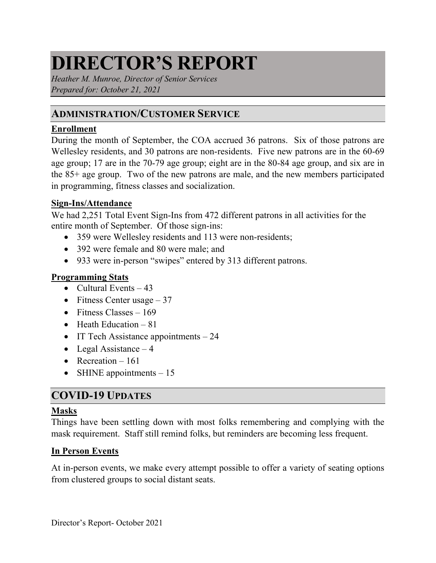# **DIRECTOR'S REPORT**

*Heather M. Munroe, Director of Senior Services Prepared for: October 21, 2021*

## **ADMINISTRATION/CUSTOMER SERVICE**

## **Enrollment**

During the month of September, the COA accrued 36 patrons. Six of those patrons are Wellesley residents, and 30 patrons are non-residents. Five new patrons are in the 60-69 age group; 17 are in the 70-79 age group; eight are in the 80-84 age group, and six are in the 85+ age group. Two of the new patrons are male, and the new members participated in programming, fitness classes and socialization.

#### **Sign-Ins/Attendance**

We had 2,251 Total Event Sign-Ins from 472 different patrons in all activities for the entire month of September. Of those sign-ins:

- 359 were Wellesley residents and 113 were non-residents;
- 392 were female and 80 were male; and
- 933 were in-person "swipes" entered by 313 different patrons.

## **Programming Stats**

- Cultural Events  $-43$
- Fitness Center usage  $-37$
- Fitness Classes  $-169$
- Heath Education  $-81$
- IT Tech Assistance appointments 24
- Legal Assistance  $-4$
- Recreation  $-161$
- SHINE appointments  $-15$

## **COVID-19 UPDATES**

## **Masks**

Things have been settling down with most folks remembering and complying with the mask requirement. Staff still remind folks, but reminders are becoming less frequent.

## **In Person Events**

At in-person events, we make every attempt possible to offer a variety of seating options from clustered groups to social distant seats.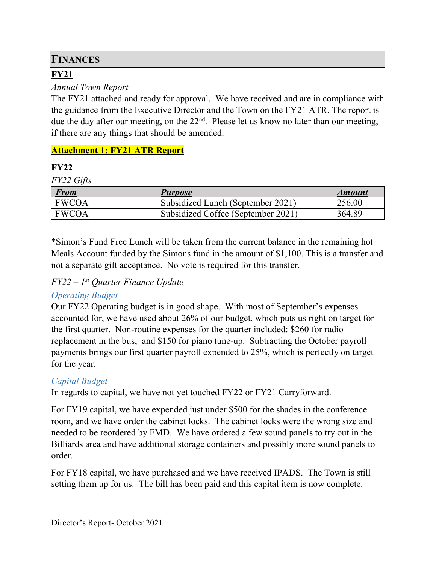## **FINANCES**

## **FY21**

## *Annual Town Report*

The FY21 attached and ready for approval. We have received and are in compliance with the guidance from the Executive Director and the Town on the FY21 ATR. The report is due the day after our meeting, on the  $22<sup>nd</sup>$ . Please let us know no later than our meeting, if there are any things that should be amended.

## **Attachment 1: FY21 ATR Report**

## **FY22**

*FY22 Gifts*

| <b>From</b>  | <b>Purpose</b>                     | <i><b>Amount</b></i> |
|--------------|------------------------------------|----------------------|
| <b>FWCOA</b> | Subsidized Lunch (September 2021)  | 256.00               |
| <b>FWCOA</b> | Subsidized Coffee (September 2021) | 364.89               |

\*Simon's Fund Free Lunch will be taken from the current balance in the remaining hot Meals Account funded by the Simons fund in the amount of \$1,100. This is a transfer and not a separate gift acceptance. No vote is required for this transfer.

## *FY22 – 1st Quarter Finance Update*

## *Operating Budget*

Our FY22 Operating budget is in good shape. With most of September's expenses accounted for, we have used about 26% of our budget, which puts us right on target for the first quarter. Non-routine expenses for the quarter included: \$260 for radio replacement in the bus; and \$150 for piano tune-up. Subtracting the October payroll payments brings our first quarter payroll expended to 25%, which is perfectly on target for the year.

## *Capital Budget*

In regards to capital, we have not yet touched FY22 or FY21 Carryforward.

For FY19 capital, we have expended just under \$500 for the shades in the conference room, and we have order the cabinet locks. The cabinet locks were the wrong size and needed to be reordered by FMD. We have ordered a few sound panels to try out in the Billiards area and have additional storage containers and possibly more sound panels to order.

For FY18 capital, we have purchased and we have received IPADS. The Town is still setting them up for us. The bill has been paid and this capital item is now complete.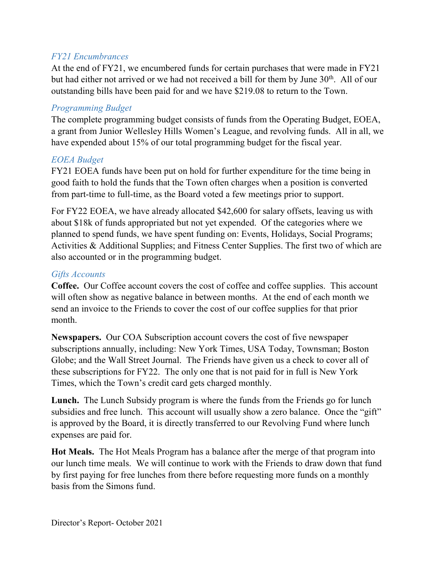## *FY21 Encumbrances*

At the end of FY21, we encumbered funds for certain purchases that were made in FY21 but had either not arrived or we had not received a bill for them by June  $30<sup>th</sup>$ . All of our outstanding bills have been paid for and we have \$219.08 to return to the Town.

## *Programming Budget*

The complete programming budget consists of funds from the Operating Budget, EOEA, a grant from Junior Wellesley Hills Women's League, and revolving funds. All in all, we have expended about 15% of our total programming budget for the fiscal year.

## *EOEA Budget*

FY21 EOEA funds have been put on hold for further expenditure for the time being in good faith to hold the funds that the Town often charges when a position is converted from part-time to full-time, as the Board voted a few meetings prior to support.

For FY22 EOEA, we have already allocated \$42,600 for salary offsets, leaving us with about \$18k of funds appropriated but not yet expended. Of the categories where we planned to spend funds, we have spent funding on: Events, Holidays, Social Programs; Activities & Additional Supplies; and Fitness Center Supplies. The first two of which are also accounted or in the programming budget.

## *Gifts Accounts*

**Coffee.** Our Coffee account covers the cost of coffee and coffee supplies. This account will often show as negative balance in between months. At the end of each month we send an invoice to the Friends to cover the cost of our coffee supplies for that prior month.

**Newspapers.** Our COA Subscription account covers the cost of five newspaper subscriptions annually, including: New York Times, USA Today, Townsman; Boston Globe; and the Wall Street Journal. The Friends have given us a check to cover all of these subscriptions for FY22. The only one that is not paid for in full is New York Times, which the Town's credit card gets charged monthly.

**Lunch.** The Lunch Subsidy program is where the funds from the Friends go for lunch subsidies and free lunch. This account will usually show a zero balance. Once the "gift" is approved by the Board, it is directly transferred to our Revolving Fund where lunch expenses are paid for.

**Hot Meals.** The Hot Meals Program has a balance after the merge of that program into our lunch time meals. We will continue to work with the Friends to draw down that fund by first paying for free lunches from there before requesting more funds on a monthly basis from the Simons fund.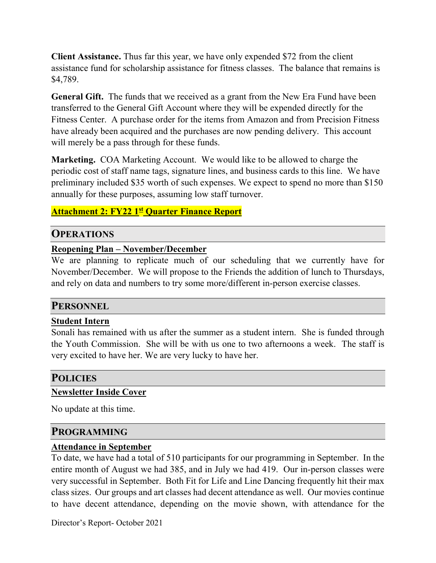**Client Assistance.** Thus far this year, we have only expended \$72 from the client assistance fund for scholarship assistance for fitness classes. The balance that remains is \$4,789.

**General Gift.** The funds that we received as a grant from the New Era Fund have been transferred to the General Gift Account where they will be expended directly for the Fitness Center. A purchase order for the items from Amazon and from Precision Fitness have already been acquired and the purchases are now pending delivery. This account will merely be a pass through for these funds.

**Marketing.** COA Marketing Account. We would like to be allowed to charge the periodic cost of staff name tags, signature lines, and business cards to this line. We have preliminary included \$35 worth of such expenses. We expect to spend no more than \$150 annually for these purposes, assuming low staff turnover.

#### **Attachment 2: FY22 1st Quarter Finance Report**

#### **OPERATIONS**

#### **Reopening Plan – November/December**

We are planning to replicate much of our scheduling that we currently have for November/December. We will propose to the Friends the addition of lunch to Thursdays, and rely on data and numbers to try some more/different in-person exercise classes.

#### **PERSONNEL**

#### **Student Intern**

Sonali has remained with us after the summer as a student intern. She is funded through the Youth Commission. She will be with us one to two afternoons a week. The staff is very excited to have her. We are very lucky to have her.

## **POLICIES**

#### **Newsletter Inside Cover**

No update at this time.

#### **PROGRAMMING**

#### **Attendance in September**

To date, we have had a total of 510 participants for our programming in September. In the entire month of August we had 385, and in July we had 419. Our in-person classes were very successful in September. Both Fit for Life and Line Dancing frequently hit their max class sizes. Our groups and art classes had decent attendance as well. Our movies continue to have decent attendance, depending on the movie shown, with attendance for the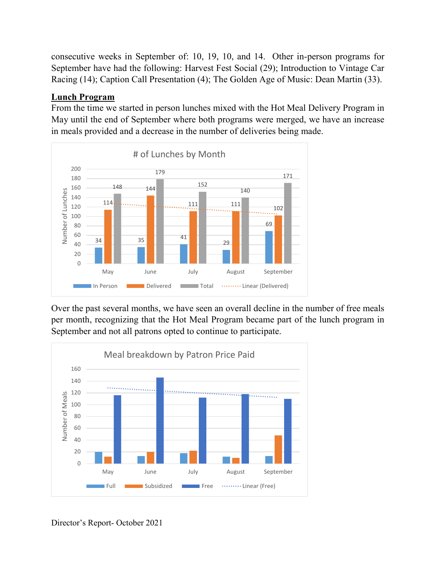consecutive weeks in September of: 10, 19, 10, and 14. Other in-person programs for September have had the following: Harvest Fest Social (29); Introduction to Vintage Car Racing (14); Caption Call Presentation (4); The Golden Age of Music: Dean Martin (33).

## **Lunch Program**

From the time we started in person lunches mixed with the Hot Meal Delivery Program in May until the end of September where both programs were merged, we have an increase in meals provided and a decrease in the number of deliveries being made.



Over the past several months, we have seen an overall decline in the number of free meals per month, recognizing that the Hot Meal Program became part of the lunch program in September and not all patrons opted to continue to participate.

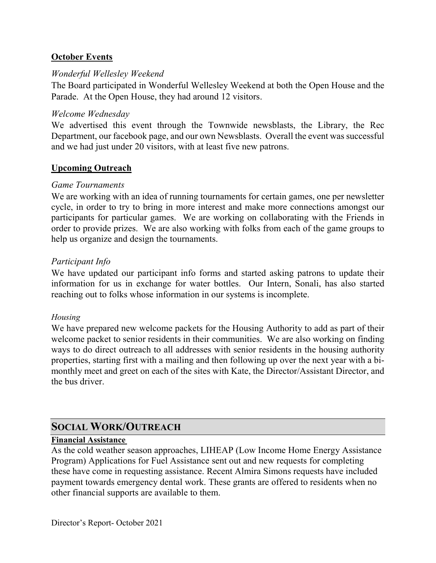#### **October Events**

#### *Wonderful Wellesley Weekend*

The Board participated in Wonderful Wellesley Weekend at both the Open House and the Parade. At the Open House, they had around 12 visitors.

#### *Welcome Wednesday*

We advertised this event through the Townwide newsblasts, the Library, the Rec Department, our facebook page, and our own Newsblasts. Overall the event was successful and we had just under 20 visitors, with at least five new patrons.

#### **Upcoming Outreach**

#### *Game Tournaments*

We are working with an idea of running tournaments for certain games, one per newsletter cycle, in order to try to bring in more interest and make more connections amongst our participants for particular games. We are working on collaborating with the Friends in order to provide prizes. We are also working with folks from each of the game groups to help us organize and design the tournaments.

#### *Participant Info*

We have updated our participant info forms and started asking patrons to update their information for us in exchange for water bottles. Our Intern, Sonali, has also started reaching out to folks whose information in our systems is incomplete.

#### *Housing*

We have prepared new welcome packets for the Housing Authority to add as part of their welcome packet to senior residents in their communities. We are also working on finding ways to do direct outreach to all addresses with senior residents in the housing authority properties, starting first with a mailing and then following up over the next year with a bimonthly meet and greet on each of the sites with Kate, the Director/Assistant Director, and the bus driver.

## **SOCIAL WORK/OUTREACH**

#### **Financial Assistance**

As the cold weather season approaches, LIHEAP (Low Income Home Energy Assistance Program) Applications for Fuel Assistance sent out and new requests for completing these have come in requesting assistance. Recent Almira Simons requests have included payment towards emergency dental work. These grants are offered to residents when no other financial supports are available to them.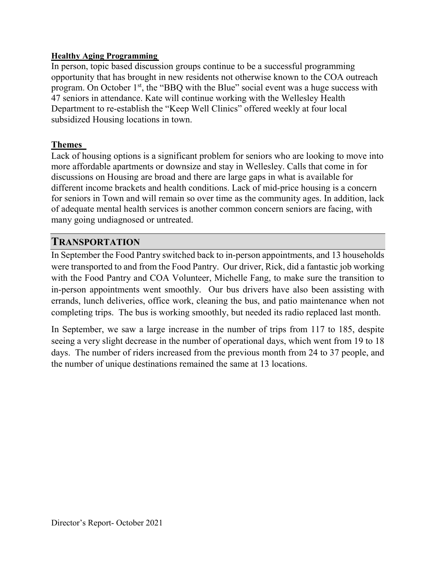#### **Healthy Aging Programming**

In person, topic based discussion groups continue to be a successful programming opportunity that has brought in new residents not otherwise known to the COA outreach program. On October  $1<sup>st</sup>$ , the "BBQ with the Blue" social event was a huge success with 47 seniors in attendance. Kate will continue working with the Wellesley Health Department to re-establish the "Keep Well Clinics" offered weekly at four local subsidized Housing locations in town.

#### **Themes**

Lack of housing options is a significant problem for seniors who are looking to move into more affordable apartments or downsize and stay in Wellesley. Calls that come in for discussions on Housing are broad and there are large gaps in what is available for different income brackets and health conditions. Lack of mid-price housing is a concern for seniors in Town and will remain so over time as the community ages. In addition, lack of adequate mental health services is another common concern seniors are facing, with many going undiagnosed or untreated.

## **TRANSPORTATION**

In September the Food Pantry switched back to in-person appointments, and 13 households were transported to and from the Food Pantry. Our driver, Rick, did a fantastic job working with the Food Pantry and COA Volunteer, Michelle Fang, to make sure the transition to in-person appointments went smoothly. Our bus drivers have also been assisting with errands, lunch deliveries, office work, cleaning the bus, and patio maintenance when not completing trips. The bus is working smoothly, but needed its radio replaced last month.

In September, we saw a large increase in the number of trips from 117 to 185, despite seeing a very slight decrease in the number of operational days, which went from 19 to 18 days. The number of riders increased from the previous month from 24 to 37 people, and the number of unique destinations remained the same at 13 locations.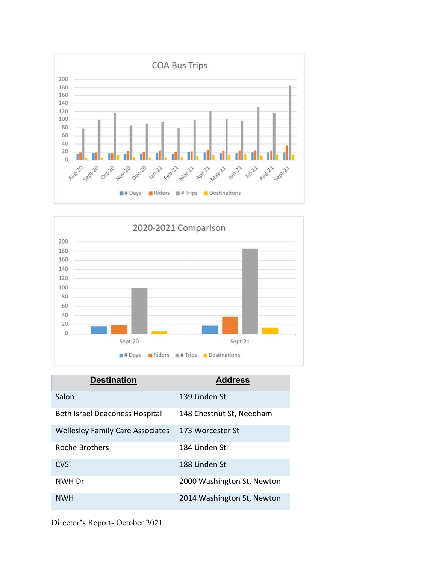



| <b>Destination</b>                      | <b>Address</b>             |
|-----------------------------------------|----------------------------|
| Salon                                   | 139 Linden St              |
| Beth Israel Deaconess Hospital          | 148 Chestnut St, Needham   |
| <b>Wellesley Family Care Associates</b> | 173 Worcester St           |
| Roche Brothers                          | 184 Linden St              |
| <b>CVS</b>                              | 188 Linden St              |
| NWH Dr                                  | 2000 Washington St, Newton |
| <b>NWH</b>                              | 2014 Washington St, Newton |

Director's Report- October 2021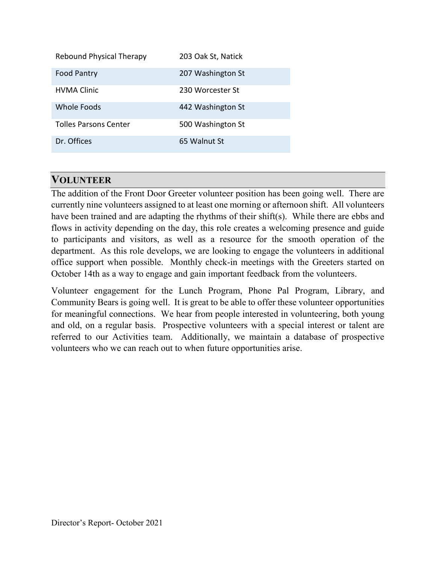| <b>Rebound Physical Therapy</b> | 203 Oak St, Natick |
|---------------------------------|--------------------|
| <b>Food Pantry</b>              | 207 Washington St  |
| <b>HVMA Clinic</b>              | 230 Worcester St   |
| <b>Whole Foods</b>              | 442 Washington St  |
| <b>Tolles Parsons Center</b>    | 500 Washington St  |
| Dr. Offices                     | 65 Walnut St       |

## **VOLUNTEER**

The addition of the Front Door Greeter volunteer position has been going well. There are currently nine volunteers assigned to at least one morning or afternoon shift. All volunteers have been trained and are adapting the rhythms of their shift(s). While there are ebbs and flows in activity depending on the day, this role creates a welcoming presence and guide to participants and visitors, as well as a resource for the smooth operation of the department. As this role develops, we are looking to engage the volunteers in additional office support when possible. Monthly check-in meetings with the Greeters started on October 14th as a way to engage and gain important feedback from the volunteers.

Volunteer engagement for the Lunch Program, Phone Pal Program, Library, and Community Bears is going well. It is great to be able to offer these volunteer opportunities for meaningful connections. We hear from people interested in volunteering, both young and old, on a regular basis. Prospective volunteers with a special interest or talent are referred to our Activities team. Additionally, we maintain a database of prospective volunteers who we can reach out to when future opportunities arise.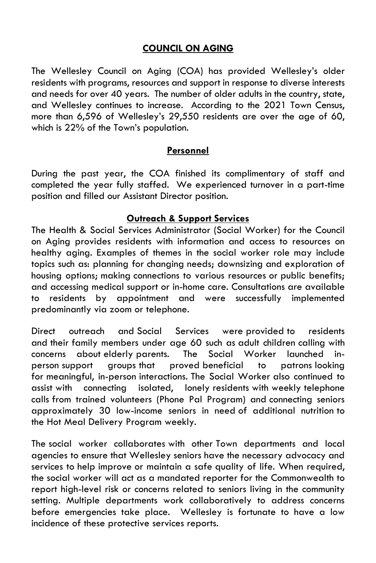#### **COUNCIL ON AGING**

The Wellesley Council on Aging (COA) has provided Wellesley's older residents with programs, resources and support in response to diverse interests and needs for over 40 years. The number of older adults in the country, state, and Wellesley continues to increase. According to the 2021 Town Census, more than 6,596 of Wellesley's 29,550 residents are over the age of 60, which is 22% of the Town's population.

#### **Personnel**

During the past year, the COA finished its complimentary of staff and completed the year fully staffed. We experienced turnover in a part-time position and filled our Assistant Director position.

#### **Outreach & Support Services**

The Health & Social Services Administrator (Social Worker) for the Council on Aging provides residents with information and access to resources on healthy aging. Examples of themes in the social worker role may include topics such as: planning for changing needs; downsizing and exploration of housing options; making connections to various resources or public benefits; and accessing medical support or in-home care. Consultations are available to residents by appointment and were successfully implemented predominantly via zoom or telephone.

Direct outreach and Social Services were provided to residents and their family members under age 60 such as adult children calling with concerns about elderly parents. The Social Worker launched inperson support groups that proved beneficial to patrons looking for meaningful, in-person interactions. The Social Worker also continued to assist with connecting isolated, lonely residents with weekly telephone calls from trained volunteers (Phone Pal Program) and connecting seniors approximately 30 low-income seniors in need of additional nutrition to the Hot Meal Delivery Program weekly.

The social worker collaborates with other Town departments and local agencies to ensure that Wellesley seniors have the necessary advocacy and services to help improve or maintain a safe quality of life. When required, the social worker will act as a mandated reporter for the Commonwealth to report high-level risk or concerns related to seniors living in the community setting. Multiple departments work collaboratively to address concerns before emergencies take place. Wellesley is fortunate to have a low incidence of these protective services reports.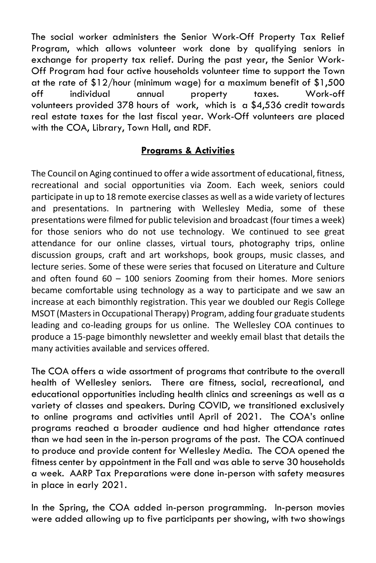The social worker administers the Senior Work-Off Property Tax Relief Program, which allows volunteer work done by qualifying seniors in exchange for property tax relief. During the past year, the Senior Work-Off Program had four active households volunteer time to support the Town at the rate of \$12/hour (minimum wage) for a maximum benefit of \$1,500 off individual annual property taxes. Work-off volunteers provided 378 hours of work, which is a \$4,536 credit towards real estate taxes for the last fiscal year. Work-Off volunteers are placed with the COA, Library, Town Hall, and RDF.

#### **Programs & Activities**

The Council on Aging continued to offer a wide assortment of educational, fitness, recreational and social opportunities via Zoom. Each week, seniors could participate in up to 18 remote exercise classes as well as a wide variety of lectures and presentations. In partnering with Wellesley Media, some of these presentations were filmed for public television and broadcast (four times a week) for those seniors who do not use technology. We continued to see great attendance for our online classes, virtual tours, photography trips, online discussion groups, craft and art workshops, book groups, music classes, and lecture series. Some of these were series that focused on Literature and Culture and often found 60 – 100 seniors Zooming from their homes. More seniors became comfortable using technology as a way to participate and we saw an increase at each bimonthly registration. This year we doubled our Regis College MSOT (Masters in Occupational Therapy) Program, adding four graduate students leading and co-leading groups for us online. The Wellesley COA continues to produce a 15-page bimonthly newsletter and weekly email blast that details the many activities available and services offered.

The COA offers a wide assortment of programs that contribute to the overall health of Wellesley seniors. There are fitness, social, recreational, and educational opportunities including health clinics and screenings as well as a variety of classes and speakers. During COVID, we transitioned exclusively to online programs and activities until April of 2021. The COA's online programs reached a broader audience and had higher attendance rates than we had seen in the in-person programs of the past. The COA continued to produce and provide content for Wellesley Media. The COA opened the fitness center by appointment in the Fall and was able to serve 30 households a week. AARP Tax Preparations were done in-person with safety measures in place in early 2021.

In the Spring, the COA added in-person programming. In-person movies were added allowing up to five participants per showing, with two showings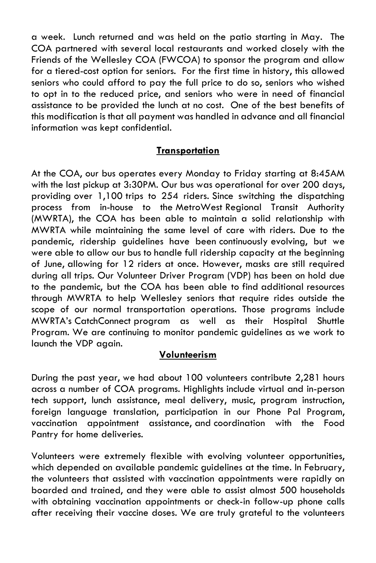a week. Lunch returned and was held on the patio starting in May. The COA partnered with several local restaurants and worked closely with the Friends of the Wellesley COA (FWCOA) to sponsor the program and allow for a tiered-cost option for seniors. For the first time in history, this allowed seniors who could afford to pay the full price to do so, seniors who wished to opt in to the reduced price, and seniors who were in need of financial assistance to be provided the lunch at no cost. One of the best benefits of this modification is that all payment was handled in advance and all financial information was kept confidential.

#### **Transportation**

At the COA, our bus operates every Monday to Friday starting at 8:45AM with the last pickup at 3:30PM. Our bus was operational for over 200 days, providing over 1,100 trips to 254 riders. Since switching the dispatching process from in-house to the MetroWest Regional Transit Authority (MWRTA), the COA has been able to maintain a solid relationship with MWRTA while maintaining the same level of care with riders. Due to the pandemic, ridership guidelines have been continuously evolving, but we were able to allow our bus to handle full ridership capacity at the beginning of June, allowing for 12 riders at once. However, masks are still required during all trips. Our Volunteer Driver Program (VDP) has been on hold due to the pandemic, but the COA has been able to find additional resources through MWRTA to help Wellesley seniors that require rides outside the scope of our normal transportation operations. Those programs include MWRTA's CatchConnect program as well as their Hospital Shuttle Program. We are continuing to monitor pandemic guidelines as we work to launch the VDP again.

#### **Volunteerism**

During the past year, we had about 100 volunteers contribute 2,281 hours across a number of COA programs. Highlights include virtual and in-person tech support, lunch assistance, meal delivery, music, program instruction, foreign language translation, participation in our Phone Pal Program, vaccination appointment assistance, and coordination with the Food Pantry for home deliveries.

Volunteers were extremely flexible with evolving volunteer opportunities, which depended on available pandemic guidelines at the time. In February, the volunteers that assisted with vaccination appointments were rapidly on boarded and trained, and they were able to assist almost 500 households with obtaining vaccination appointments or check-in follow-up phone calls after receiving their vaccine doses. We are truly grateful to the volunteers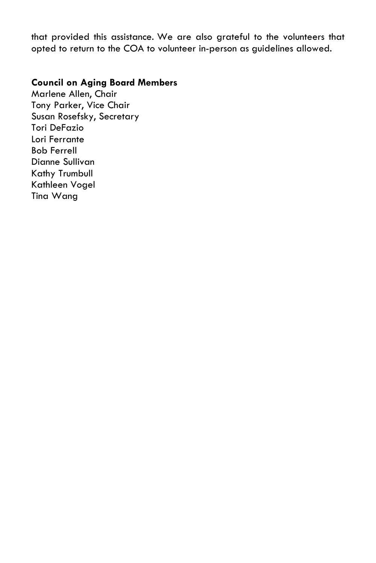that provided this assistance. We are also grateful to the volunteers that opted to return to the COA to volunteer in-person as guidelines allowed.

#### **Council on Aging Board Members**

Marlene Allen, Chair Tony Parker, Vice Chair Susan Rosefsky, Secretary Tori DeFazio Lori Ferrante Bob Ferrell Dianne Sullivan Kathy Trumbull Kathleen Vogel Tina Wang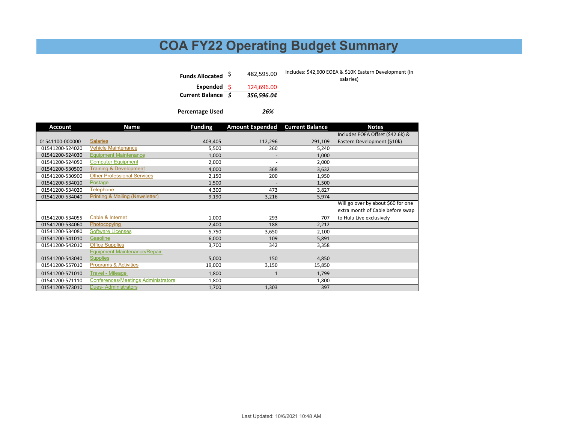## **COA FY22 Operating Budget Summary**

| Funds Allocated S | 482.595.00 | Includes: \$42,600 EOEA & \$10K Eastern Development (in<br>salaries) |
|-------------------|------------|----------------------------------------------------------------------|
| Expended \$       | 124,696.00 |                                                                      |
| Current Balance S | 356.596.04 |                                                                      |

**Percentage Used**

*26%*

| Account         | Name                                       | <b>Funding</b> | <b>Amount Expended</b>   | <b>Current Balance</b> | <b>Notes</b>                       |
|-----------------|--------------------------------------------|----------------|--------------------------|------------------------|------------------------------------|
|                 |                                            |                |                          |                        | Includes EOEA Offset (\$42.6k) &   |
| 01541100-000000 | <b>Salaries</b>                            | 403,405        | 112,296                  | 291,109                | Eastern Development (\$10k)        |
| 01541200-524020 | <b>Vehicle Maintenance</b>                 | 5,500          | 260                      | 5,240                  |                                    |
| 01541200-524030 | <b>Equipment Maintenance</b>               | 1,000          | $\overline{\phantom{a}}$ | 1,000                  |                                    |
| 01541200-524050 | <b>Computer Equipment</b>                  | 2,000          | ٠                        | 2,000                  |                                    |
| 01541200-530500 | <b>Training &amp; Development</b>          | 4,000          | 368                      | 3,632                  |                                    |
| 01541200-530900 | <b>Other Professional Services</b>         | 2,150          | 200                      | 1,950                  |                                    |
| 01541200-534010 | Postage                                    | 1,500          | ٠                        | 1,500                  |                                    |
| 01541200-534020 | <b>Telephone</b>                           | 4,300          | 473                      | 3,827                  |                                    |
| 01541200-534040 | <b>Printing &amp; Mailing (Newsletter)</b> | 9,190          | 3,216                    | 5,974                  |                                    |
|                 |                                            |                |                          |                        | Will go over by about \$60 for one |
|                 |                                            |                |                          |                        | extra month of Cable before swap   |
| 01541200-534055 | Cable & Internet                           | 1,000          | 293                      | 707                    | to Hulu Live exclusively           |
| 01541200-534060 | Photocopying                               | 2,400          | 188                      | 2,212                  |                                    |
| 01541200-534080 | Software Licenses                          | 5,750          | 3,650                    | 2,100                  |                                    |
| 01541200-541010 | Gasoline                                   | 6,000          | 109                      | 5,891                  |                                    |
| 01541200-542010 | <b>Office Supplies</b>                     | 3,700          | 342                      | 3,358                  |                                    |
|                 | <b>Equipment Maintenance/Repair</b>        |                |                          |                        |                                    |
| 01541200-543040 | <b>Supplies</b>                            | 5,000          | 150                      | 4,850                  |                                    |
| 01541200-557010 | <b>Programs &amp; Activities</b>           | 19,000         | 3,150                    | 15,850                 |                                    |
| 01541200-571010 | <b>Travel - Mileage</b>                    | 1,800          | $\overline{1}$           | 1,799                  |                                    |
| 01541200-571110 | <b>Conferences/Meetings Administrators</b> | 1,800          | $\overline{\phantom{a}}$ | 1,800                  |                                    |
| 01541200-573010 | <b>Dues-Administrators</b>                 | 1,700          | 1,303                    | 397                    |                                    |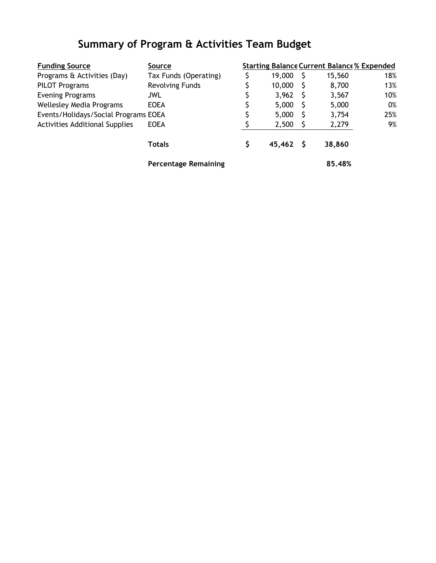## **Summary of Program & Activities Team Budget**

| <b>Funding Source</b>                          | <b>Source</b>               |              | <b>Starting Balance Current Balance % Expended</b> |     |
|------------------------------------------------|-----------------------------|--------------|----------------------------------------------------|-----|
| Programs & Activities (Day)                    | Tax Funds (Operating)       | 19,000       | 15,560                                             | 18% |
| <b>PILOT Programs</b>                          | <b>Revolving Funds</b>      | 10,000       | 8,700                                              | 13% |
| <b>Evening Programs</b>                        | <b>JWL</b>                  | 3,962        | 3,567                                              | 10% |
| <b>Wellesley Media Programs</b><br><b>EOEA</b> |                             | 5,000        | 5,000                                              | 0%  |
| Events/Holidays/Social Programs EOEA           |                             | 5,000        | 3,754                                              | 25% |
| <b>Activities Additional Supplies</b>          | <b>EOEA</b>                 | 2,500        | 2,279                                              | 9%  |
|                                                | <b>Totals</b>               | \$<br>45,462 | 38,860                                             |     |
|                                                | <b>Percentage Remaining</b> |              | 85.48%                                             |     |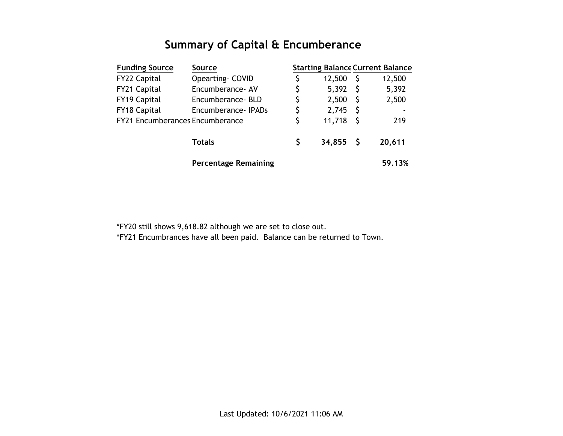## **Summary of Capital & Encumberance**

| <b>Funding Source</b>           | <b>Source</b>               |    |             |              | <b>Starting Balance Current Balance</b> |
|---------------------------------|-----------------------------|----|-------------|--------------|-----------------------------------------|
| <b>FY22 Capital</b>             | Opearting- COVID            | \$ | 12,500      | S            | 12,500                                  |
| FY21 Capital                    | Encumberance- AV            | \$ | 5,392       | S            | 5,392                                   |
| FY19 Capital                    | Encumberance-BLD            | \$ | 2,500       | -S           | 2,500                                   |
| FY18 Capital                    | Encumberance - IPADs        | \$ | 2,745       | S            | ۰                                       |
| FY21 Encumberances Encumberance |                             | \$ | 11,718      | $\mathsf{S}$ | 219                                     |
|                                 | <b>Totals</b>               | Ŝ  | $34,855$ \$ |              | 20,611                                  |
|                                 | <b>Percentage Remaining</b> |    |             |              | 59.13%                                  |

\*FY20 still shows 9,618.82 although we are set to close out.

\*FY21 Encumbrances have all been paid. Balance can be returned to Town.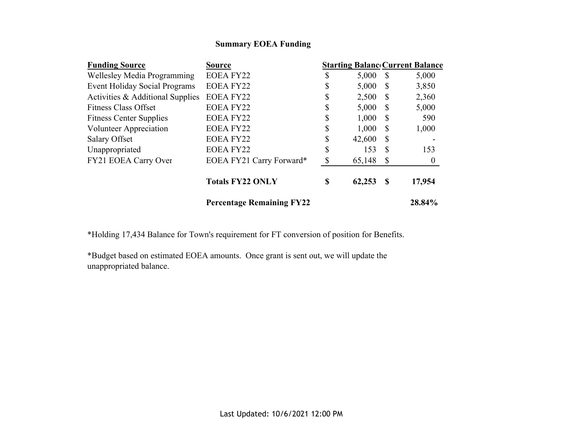#### **Summary EOEA Funding**

| <b>Funding Source</b>                | <b>Source</b>                    |              |              | <b>Starting Balanc Current Balance</b> |
|--------------------------------------|----------------------------------|--------------|--------------|----------------------------------------|
| Wellesley Media Programming          | <b>EOEA FY22</b>                 | \$<br>5,000  | -S           | 5,000                                  |
| <b>Event Holiday Social Programs</b> | <b>EOEA FY22</b>                 | \$<br>5,000  | S            | 3,850                                  |
| Activities & Additional Supplies     | EOEA FY22                        | \$<br>2,500  | <sup>S</sup> | 2,360                                  |
| <b>Fitness Class Offset</b>          | EOEA FY22                        | \$<br>5,000  | S            | 5,000                                  |
| <b>Fitness Center Supplies</b>       | EOEA FY22                        | \$<br>1,000  | S            | 590                                    |
| Volunteer Appreciation               | EOEA FY22                        | \$<br>1,000  | <sup>S</sup> | 1,000                                  |
| Salary Offset                        | <b>EOEA FY22</b>                 | \$<br>42,600 | S            |                                        |
| Unappropriated                       | <b>EOEA FY22</b>                 | \$<br>153    | S            | 153                                    |
| FY21 EOEA Carry Over                 | EOEA FY21 Carry Forward*         | \$<br>65,148 | S            | $\boldsymbol{0}$                       |
|                                      | <b>Totals FY22 ONLY</b>          | \$<br>62,253 | S            | 17,954                                 |
|                                      | <b>Percentage Remaining FY22</b> |              |              | 28.84%                                 |

\*Holding 17,434 Balance for Town's requirement for FT conversion of position for Benefits.

\*Budget based on estimated EOEA amounts. Once grant is sent out, we will update the unappropriated balance.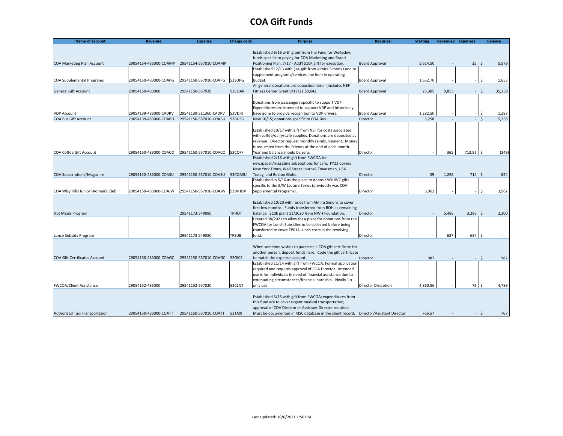#### **COA Gift Funds**

| <b>Name of account</b>               | <b>Revenue</b>        | <b>Expense</b>               | <b>Charge code</b> | <b>Purpose</b>                                                                                                          | <b>Requries:</b>           | <b>Starting</b> |       | Revenue2 Expense2 | <b>Balance</b> |
|--------------------------------------|-----------------------|------------------------------|--------------------|-------------------------------------------------------------------------------------------------------------------------|----------------------------|-----------------|-------|-------------------|----------------|
|                                      |                       |                              |                    |                                                                                                                         |                            |                 |       |                   |                |
|                                      |                       |                              |                    | Established 6/16 with grant from the Fund for Wellesley;                                                                |                            |                 |       |                   |                |
|                                      |                       |                              |                    | funds specific to paying for COA Marketing and Brand                                                                    |                            |                 |       |                   |                |
| COA Marketing Plan Account           | 29054154-483000-COAMP | 29541154-557010-COAMP        |                    | Positioning Plan. 7/17 - Add'l \$10K gift for execution.<br>Established 12/13 with \$4K gift from Almira Simons Fund to | <b>Board Approval</b>      | 5,614.50        |       | $35 \quad$        | 5,579          |
|                                      |                       |                              |                    | supplement programs/services line item in operating                                                                     |                            |                 |       |                   |                |
| <b>COA Supplemental Programs</b>     | 29054150-483000-COAPG | 29541150-557010-COAPG        | 53SUPG             | budget.                                                                                                                 | <b>Board Approval</b>      | 1,652.70        |       |                   | \$<br>1,653    |
|                                      |                       |                              |                    | All general donations are deposited here. (includes NEF                                                                 |                            |                 |       |                   |                |
| <b>General Gift Account</b>          | 29054150-483000       | 29541150-557020              | 53COAR             | Fitness Center Grant 9/17/21 \$9,642                                                                                    | <b>Board Approval</b>      | 25,385          | 9,853 |                   | - Ś<br>35,238  |
|                                      |                       |                              |                    |                                                                                                                         |                            |                 |       |                   |                |
|                                      |                       |                              |                    | Donations from passengers specific to support VDP.                                                                      |                            |                 |       |                   |                |
|                                      |                       |                              |                    | Expenditures are intended to support VDP and historically                                                               |                            |                 |       |                   |                |
| <b>VDP Account</b>                   | 29054139-483000-CADRV | 29541139-511360-CADRV        | 53VDRI             | have gone to provide recognition to VDP drivers.                                                                        | <b>Board Approval</b>      | 1,282.50        |       | $-$ \$            | 1,283          |
| <b>COA Bus Gift Account</b>          | 29054139-483000-COABU | 29541150-557010-COABU        | 53BUSG             | New 10/15; donations specific to COA Bus.                                                                               | Director                   | 5,258           |       | $-5$              | 5,258          |
|                                      |                       |                              |                    |                                                                                                                         |                            |                 |       |                   |                |
|                                      |                       |                              |                    | Established 10/17 with gift from NEF for costs associated                                                               |                            |                 |       |                   |                |
|                                      |                       |                              |                    | with coffee/dairy/café supplies. Donations are deposited as                                                             |                            |                 |       |                   |                |
|                                      |                       |                              |                    | revenue. Director request monthly reimbursement. Money                                                                  |                            |                 |       |                   |                |
|                                      |                       |                              |                    | is requested from the Friends at the end of each month.                                                                 |                            |                 |       |                   |                |
| <b>COA Coffee Gift Account</b>       | 29054150-483000-COACO | 29541150-557010-COACO        | 53COFF             | Year end balance should be zero.                                                                                        | Director                   |                 | 365   | $713.91$ \$       | (349)          |
|                                      |                       |                              |                    | Established 2/18 with gift from FWCOA for                                                                               |                            |                 |       |                   |                |
|                                      |                       |                              |                    | newspaper/magazine subsciptions for café. FY22 Covers                                                                   |                            |                 |       |                   |                |
|                                      |                       |                              |                    | New York Times, Wall Street Journal, Townsman, USA                                                                      |                            |                 |       |                   |                |
| COA Subscriptions/Magazine           | 29054150-483000-COASU | 29541150-557010-COASU        | 53COASU            | Today, and Boston Globe.                                                                                                | Director                   | 39              | 1,298 | 714S              | 624            |
|                                      |                       |                              |                    | Established in 5/16 as the place to deposit WHJWC gifts                                                                 |                            |                 |       |                   |                |
|                                      |                       |                              |                    | specific to the E/W Lecture Series (previously was COA                                                                  |                            |                 |       |                   |                |
| COA Wlsy Hills Junior Women's Club   | 29054150-483000-COAJW | 29541150-557010-COAJW        | 53WHJW             | Supplemental Programs).                                                                                                 | Director                   | 3,962           |       |                   | \$.<br>3,962   |
|                                      |                       |                              |                    |                                                                                                                         |                            |                 |       |                   |                |
|                                      |                       |                              |                    | Established 10/20 with funds from Almira Simons to cover                                                                |                            |                 |       |                   |                |
|                                      |                       |                              |                    | first few months. Funds transferred from BOH as remaining                                                               |                            |                 |       |                   |                |
| <b>Hot Meals Program</b>             |                       | 29541173-549080              | <b>TPHOT</b>       | balance. \$10k grant 11/2020 from NWH Foundation.                                                                       | Director                   |                 | 5,486 | $3,286$ \$        | 2,200          |
|                                      |                       |                              |                    | Created 08/2021 to allow for a place for donations from the                                                             |                            |                 |       |                   |                |
|                                      |                       |                              |                    | FWCOA for Lunch Subsidies to be collected before being                                                                  |                            |                 |       |                   |                |
|                                      |                       |                              |                    | transferred to cover TP014 Lunch costs in the revolving                                                                 |                            |                 |       |                   |                |
| Lunch Subsidy Program                |                       | 29541173-549080              | <b>TPSUB</b>       | fund.                                                                                                                   | Director                   |                 | 687   | 687 \$            |                |
|                                      |                       |                              |                    |                                                                                                                         |                            |                 |       |                   |                |
|                                      |                       |                              |                    | When someone wishes to purchase a COA gift certificate for                                                              |                            |                 |       |                   |                |
|                                      |                       |                              |                    | another person, deposit funds here. Code the gift certificate                                                           |                            |                 |       |                   |                |
| <b>COA Gift Certificates Account</b> | 29054150-483000-COAGC | 29541150-557010-COAGC 53GICE |                    | to match the expense account.                                                                                           | Director                   | 987             |       | - \$              | 987            |
|                                      |                       |                              |                    | Established 11/14 with gift from FWCOA; Formal application                                                              |                            |                 |       |                   |                |
|                                      |                       |                              |                    | required and requires approval of COA Director. Intended                                                                |                            |                 |       |                   |                |
|                                      |                       |                              |                    | use is for individuals in need of financial assistance due to                                                           |                            |                 |       |                   |                |
|                                      |                       |                              |                    | extenuating circumstances/financial hardship. Ideally 1 x                                                               |                            |                 |       |                   |                |
| <b>FWCOA/Client Assistance</b>       | 29054152-483000       | 29541152-557020              | 53CLNT             | only use                                                                                                                | <b>Director Discretion</b> | 4.860.86        |       | $72 \mid 5$       | 4,789          |
|                                      |                       |                              |                    |                                                                                                                         |                            |                 |       |                   |                |
|                                      |                       |                              |                    | Established 5/15 with gift from FWCOA; expenditures from                                                                |                            |                 |       |                   |                |
|                                      |                       |                              |                    | this fund are to cover urgent medical transportation;                                                                   |                            |                 |       |                   |                |
|                                      |                       |                              |                    | approval of COA Director or Assistant Director required.                                                                |                            |                 |       |                   |                |
| Authorized Taxi Transportation       | 29054150-483000-COATT | 29541150-557010-COATT        | 53TAXI             | Must be documented in MSC database in the client record.  Director/Assistant Director                                   |                            | 766.57          |       |                   | 767<br>- S     |